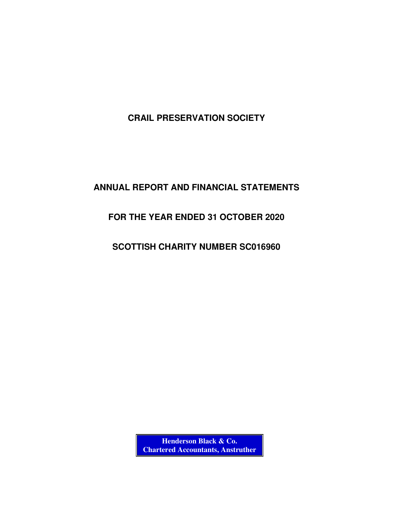# **ANNUAL REPORT AND FINANCIAL STATEMENTS**

# **FOR THE YEAR ENDED 31 OCTOBER 2020**

# **SCOTTISH CHARITY NUMBER SC016960**

**Henderson Black & Co. Chartered Accountants, Anstruther**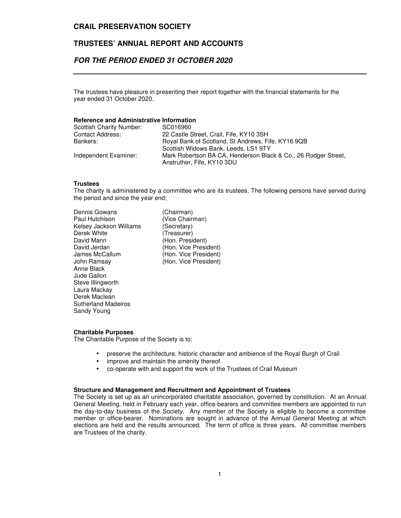# **TRUSTEES' ANNUAL REPORT AND ACCOUNTS**

# **FOR THE PERIOD ENDED 31 OCTOBER 2020**

The trustees have pleasure in presenting their report together with the financial statements for the year ended 31 October 2020.

### **Reference and Administrative Information**

| Scottish Charity Number: | SC016960                                                       |
|--------------------------|----------------------------------------------------------------|
| <b>Contact Address:</b>  | 22 Castle Street, Crail, Fife, KY10 3SH                        |
| Bankers:                 | Royal Bank of Scotland, St Andrews, Fife, KY16 9QB             |
|                          | Scottish Widows Bank, Leeds, LS1 9TY                           |
| Independent Examiner:    | Mark Robertson BA CA, Henderson Black & Co., 26 Rodger Street, |
|                          | Anstruther, Fife, KY10 3DU                                     |

#### **Trustees**

The charity is administered by a committee who are its trustees. The following persons have served during the period and since the year end;

| (Chairman)   |
|--------------|
| (Vice Chairr |
| (Secretary)  |
| (Treasurer)  |
| (Hon. Presi  |
| (Hon. Vice I |
| (Hon. Vice I |
| (Hon. Vice I |
|              |
|              |
|              |
|              |
|              |
|              |
|              |
|              |

(Vice Chairman) (Secretary) (Treasurer) (Hon. President) (Hon. Vice President) (Hon. Vice President) (Hon. Vice President)

#### **Charitable Purposes**

The Charitable Purpose of the Society is to:

- preserve the architecture, historic character and ambience of the Royal Burgh of Crail
- improve and maintain the amenity thereof
- co-operate with and support the work of the Trustees of Crail Museum

#### **Structure and Management and Recruitment and Appointment of Trustees**

The Society is set up as an unincorporated charitable association, governed by constitution. At an Annual General Meeting, held in February each year, office-bearers and committee members are appointed to run the day-to-day business of the Society. Any member of the Society is eligible to become a committee member or office-bearer. Nominations are sought in advance of the Annual General Meeting at which elections are held and the results announced. The term of office is three years. All committee members are Trustees of the charity.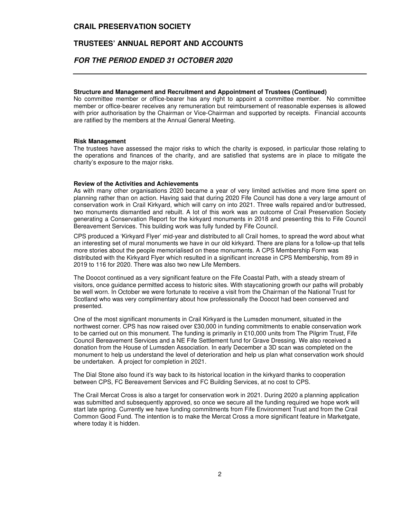### **TRUSTEES' ANNUAL REPORT AND ACCOUNTS**

# **FOR THE PERIOD ENDED 31 OCTOBER 2020**

#### **Structure and Management and Recruitment and Appointment of Trustees (Continued)**

No committee member or office-bearer has any right to appoint a committee member. No committee member or office-bearer receives any remuneration but reimbursement of reasonable expenses is allowed with prior authorisation by the Chairman or Vice-Chairman and supported by receipts. Financial accounts are ratified by the members at the Annual General Meeting.

#### **Risk Management**

The trustees have assessed the major risks to which the charity is exposed, in particular those relating to the operations and finances of the charity, and are satisfied that systems are in place to mitigate the charity's exposure to the major risks.

#### **Review of the Activities and Achievements**

As with many other organisations 2020 became a year of very limited activities and more time spent on planning rather than on action. Having said that during 2020 Fife Council has done a very large amount of conservation work in Crail Kirkyard, which will carry on into 2021. Three walls repaired and/or buttressed, two monuments dismantled and rebuilt. A lot of this work was an outcome of Crail Preservation Society generating a Conservation Report for the kirkyard monuments in 2018 and presenting this to Fife Council Bereavement Services. This building work was fully funded by Fife Council.

CPS produced a 'Kirkyard Flyer' mid-year and distributed to all Crail homes, to spread the word about what an interesting set of mural monuments we have in our old kirkyard. There are plans for a follow-up that tells more stories about the people memorialised on these monuments. A CPS Membership Form was distributed with the Kirkyard Flyer which resulted in a significant increase in CPS Membership, from 89 in 2019 to 116 for 2020. There was also two new Life Members.

The Doocot continued as a very significant feature on the Fife Coastal Path, with a steady stream of visitors, once guidance permitted access to historic sites. With staycationing growth our paths will probably be well worn. In October we were fortunate to receive a visit from the Chairman of the National Trust for Scotland who was very complimentary about how professionally the Doocot had been conserved and presented.

One of the most significant monuments in Crail Kirkyard is the Lumsden monument, situated in the northwest corner. CPS has now raised over £30,000 in funding commitments to enable conservation work to be carried out on this monument. The funding is primarily in £10,000 units from The Pilgrim Trust, Fife Council Bereavement Services and a NE Fife Settlement fund for Grave Dressing. We also received a donation from the House of Lumsden Association. In early December a 3D scan was completed on the monument to help us understand the level of deterioration and help us plan what conservation work should be undertaken. A project for completion in 2021.

The Dial Stone also found it's way back to its historical location in the kirkyard thanks to cooperation between CPS, FC Bereavement Services and FC Building Services, at no cost to CPS.

The Crail Mercat Cross is also a target for conservation work in 2021. During 2020 a planning application was submitted and subsequently approved, so once we secure all the funding required we hope work will start late spring. Currently we have funding commitments from Fife Environment Trust and from the Crail Common Good Fund. The intention is to make the Mercat Cross a more significant feature in Marketgate, where today it is hidden.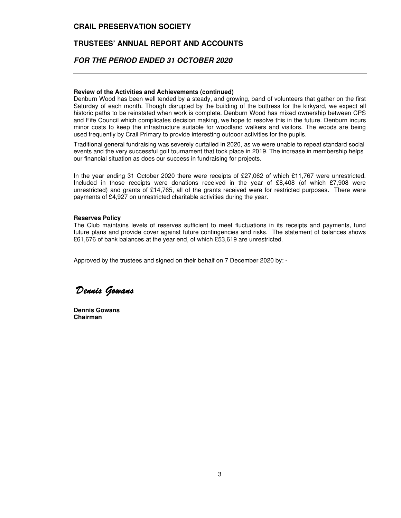# **TRUSTEES' ANNUAL REPORT AND ACCOUNTS**

# **FOR THE PERIOD ENDED 31 OCTOBER 2020**

#### **Review of the Activities and Achievements (continued)**

Denburn Wood has been well tended by a steady, and growing, band of volunteers that gather on the first Saturday of each month. Though disrupted by the building of the buttress for the kirkyard, we expect all historic paths to be reinstated when work is complete. Denburn Wood has mixed ownership between CPS and Fife Council which complicates decision making, we hope to resolve this in the future. Denburn incurs minor costs to keep the infrastructure suitable for woodland walkers and visitors. The woods are being used frequently by Crail Primary to provide interesting outdoor activities for the pupils.

Traditional general fundraising was severely curtailed in 2020, as we were unable to repeat standard social events and the very successful golf tournament that took place in 2019. The increase in membership helps our financial situation as does our success in fundraising for projects.

In the year ending 31 October 2020 there were receipts of £27,062 of which £11,767 were unrestricted. Included in those receipts were donations received in the year of £8,408 (of which £7,908 were unrestricted) and grants of £14,765, all of the grants received were for restricted purposes. There were payments of £4,927 on unrestricted charitable activities during the year.

#### **Reserves Policy**

The Club maintains levels of reserves sufficient to meet fluctuations in its receipts and payments, fund future plans and provide cover against future contingencies and risks. The statement of balances shows £61,676 of bank balances at the year end, of which £53,619 are unrestricted.

Approved by the trustees and signed on their behalf on 7 December 2020 by: -

Dennis Gowans

**Dennis Gowans Chairman**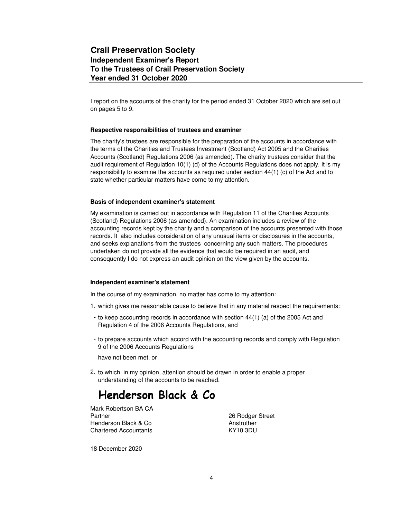I report on the accounts of the charity for the period ended 31 October 2020 which are set out on pages 5 to 9.

#### **Respective responsibilities of trustees and examiner**

The charity's trustees are responsible for the preparation of the accounts in accordance with the terms of the Charities and Trustees Investment (Scotland) Act 2005 and the Charities Accounts (Scotland) Regulations 2006 (as amended). The charity trustees consider that the audit requirement of Regulation 10(1) (d) of the Accounts Regulations does not apply. It is my responsibility to examine the accounts as required under section 44(1) (c) of the Act and to state whether particular matters have come to my attention.

#### **Basis of independent examiner's statement**

My examination is carried out in accordance with Regulation 11 of the Charities Accounts (Scotland) Regulations 2006 (as amended). An examination includes a review of the accounting records kept by the charity and a comparison of the accounts presented with those records. It also includes consideration of any unusual items or disclosures in the accounts, and seeks explanations from the trustees concerning any such matters. The procedures undertaken do not provide all the evidence that would be required in an audit, and consequently I do not express an audit opinion on the view given by the accounts.

#### **Independent examiner's statement**

In the course of my examination, no matter has come to my attention:

- 1. which gives me reasonable cause to believe that in any material respect the requirements:
- **-** to keep accounting records in accordance with section 44(1) (a) of the 2005 Act and Regulation 4 of the 2006 Accounts Regulations, and
- **-** to prepare accounts which accord with the accounting records and comply with Regulation 9 of the 2006 Accounts Regulations

have not been met, or

2. to which, in my opinion, attention should be drawn in order to enable a proper understanding of the accounts to be reached.

# Henderson Black & Co

Mark Robertson BA CA Partner 26 Rodger Street Henderson Black & Co **Anstruther** Chartered Accountants KY10 3DU

18 December 2020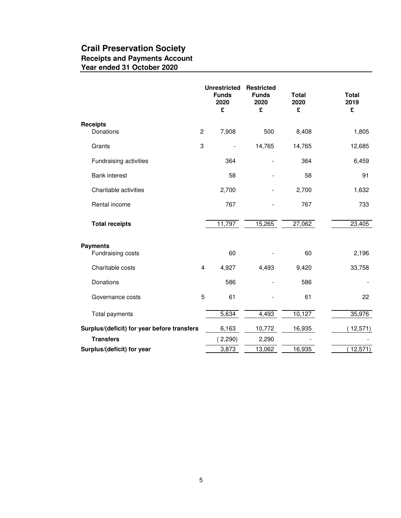# **Crail Preservation Society Receipts and Payments Account Year ended 31 October 2020**

|                                             |                | <b>Unrestricted</b><br><b>Funds</b><br>2020<br>£ | <b>Restricted</b><br><b>Funds</b><br>2020<br>£ | <b>Total</b><br>2020<br>£ | <b>Total</b><br>2019<br>£ |
|---------------------------------------------|----------------|--------------------------------------------------|------------------------------------------------|---------------------------|---------------------------|
| <b>Receipts</b><br>Donations                | $\overline{c}$ | 7,908                                            | 500                                            | 8,408                     | 1,805                     |
| Grants                                      | 3              | $\blacksquare$                                   | 14,765                                         | 14,765                    | 12,685                    |
| Fundraising activities                      |                | 364                                              |                                                | 364                       | 6,459                     |
| <b>Bank interest</b>                        |                | 58                                               |                                                | 58                        | 91                        |
| Charitable activities                       |                | 2,700                                            |                                                | 2,700                     | 1,632                     |
| Rental income                               |                | 767                                              |                                                | 767                       | 733                       |
| <b>Total receipts</b>                       |                | 11,797                                           | 15,265                                         | 27,062                    | 23,405                    |
| <b>Payments</b><br>Fundraising costs        |                | 60                                               |                                                | 60                        | 2,196                     |
| Charitable costs                            | 4              | 4,927                                            | 4,493                                          | 9,420                     | 33,758                    |
| Donations                                   |                | 586                                              |                                                | 586                       |                           |
| Governance costs                            | 5              | 61                                               |                                                | 61                        | 22                        |
| Total payments                              |                | 5,634                                            | 4,493                                          | 10,127                    | 35,976                    |
| Surplus/(deficit) for year before transfers |                | 6,163                                            | 10,772                                         | 16,935                    | 12,571)                   |
| <b>Transfers</b>                            |                | (2,290)                                          | 2,290                                          |                           |                           |
| Surplus/(deficit) for year                  |                | 3,873                                            | 13,062                                         | 16,935                    | 12,571)                   |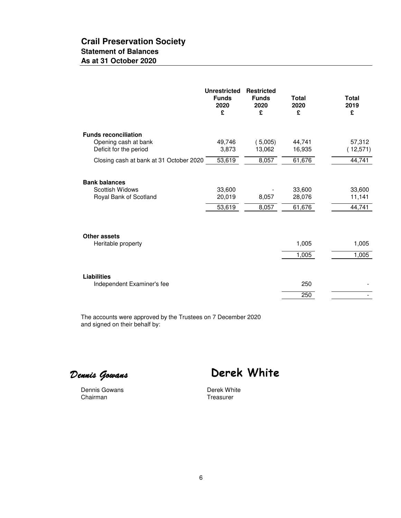# **Crail Preservation Society Statement of Balances As at 31 October 2020**

|                                                                                                                          | <b>Unrestricted</b><br><b>Funds</b><br>2020<br>£ | <b>Restricted</b><br><b>Funds</b><br>2020<br>£ | <b>Total</b><br>2020<br>£  | <b>Total</b><br>2019<br>£    |
|--------------------------------------------------------------------------------------------------------------------------|--------------------------------------------------|------------------------------------------------|----------------------------|------------------------------|
| <b>Funds reconciliation</b><br>Opening cash at bank<br>Deficit for the period<br>Closing cash at bank at 31 October 2020 | 49,746<br>3,873<br>53,619                        | (5,005)<br>13,062<br>8,057                     | 44,741<br>16,935<br>61,676 | 57,312<br>(12,571)<br>44,741 |
| <b>Bank balances</b><br>Scottish Widows<br>Royal Bank of Scotland                                                        | 33,600<br>20,019<br>53,619                       | 8,057<br>8,057                                 | 33,600<br>28,076<br>61,676 | 33,600<br>11,141<br>44,741   |
| Other assets<br>Heritable property                                                                                       |                                                  |                                                | 1,005<br>1,005             | 1,005<br>1,005               |
| <b>Liabilities</b><br>Independent Examiner's fee                                                                         |                                                  |                                                | 250<br>250                 |                              |

The accounts were approved by the Trustees on 7 December 2020 and signed on their behalf by:

Dennis Gowans

Derek White

Dennis Gowans **Dennis Gowans** Derek White<br>
Chairman **Derek White** 

Treasurer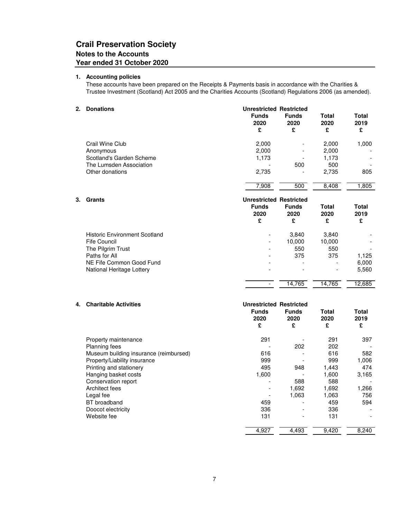# **Crail Preservation Society Notes to the Accounts Year ended 31 October 2020**

#### **1. Accounting policies**

These accounts have been prepared on the Receipts & Payments basis in accordance with the Charities & Trustee Investment (Scotland) Act 2005 and the Charities Accounts (Scotland) Regulations 2006 (as amended).

#### **2. Donations Unrestricted Restricted**

|    |                                      | <b>Funds</b><br>2020           | <b>Funds</b><br>2020 | Total<br>2020 | <b>Total</b><br>2019 |  |
|----|--------------------------------------|--------------------------------|----------------------|---------------|----------------------|--|
|    |                                      | £                              | £                    | £             | £                    |  |
|    | Crail Wine Club                      | 2,000                          |                      | 2,000         | 1,000                |  |
|    | Anonymous                            | 2,000                          |                      | 2,000         |                      |  |
|    | Scotland's Garden Scheme             | 1,173                          |                      | 1,173         |                      |  |
|    | The Lumsden Association              |                                | 500                  | 500           |                      |  |
|    | Other donations                      | 2,735                          |                      | 2,735         | 805                  |  |
|    |                                      | 7,908                          | 500                  | 8,408         | 1,805                |  |
| 3. | Grants                               | <b>Unrestricted Restricted</b> |                      |               |                      |  |
|    |                                      | <b>Funds</b>                   | <b>Funds</b>         | Total         | <b>Total</b>         |  |
|    |                                      | 2020<br>£                      | 2020<br>£            | 2020<br>£     | 2019<br>£            |  |
|    | <b>Historic Environment Scotland</b> |                                | 3,840                | 3,840         |                      |  |
|    | <b>Fife Council</b>                  | $\overline{a}$                 | 10,000               | 10,000        |                      |  |
|    | The Pilgrim Trust                    |                                | 550                  | 550           |                      |  |
|    | Paths for All                        |                                | 375                  | 375           | 1,125                |  |
|    | NE Fife Common Good Fund             |                                |                      |               | 6,000                |  |
|    |                                      |                                |                      |               |                      |  |
|    | National Heritage Lottery            |                                |                      |               | 5,560                |  |

## **4. Charitable Activities Unrestricted Restricted Funds Funds Total Total 2020 2020 2020 2019 £ £ £ £** Property maintenance and the control of the 291 and 291 and 291 and 297 and 297 and 297 and 297 and 297 and 297 Planning fees - 202 202 - Museum building insurance (reimbursed) 616 - 616 582 Property/Liability insurance and the state of the extended of the 999 and the 999 control of the 999 control of the 999 control of the 999 control of the 999 control of the extension of the extension of the extension of th Printing and stationery 1995 1,443 474 495 948 1,443 474 Hanging basket costs **1,600** - 1,600 3,165 Conservation report Conservation report Conservation report Conservation report Conservation report Conservation report Conservation of the SAC Conservation of the SAC Conservation of the SAC Conservation of the SAC Conser Architect fees 1,692 1,692 1,692 Legal fee - 1,063 1,063 756 BT broadband 459 - 459 594 Doocot electricity and the set of the set of the set of the set of the set of the set of the set of the set of the set of the set of the set of the set of the set of the set of the set of the set of the set of the set of t Website fee **131** - 131 - 131 - 131 - 131 - 131 - 131 - 131 - 131 - 131 - 131 - 131 - 131 - 131 - 131 - 131 - 131 - 131 - 131 - 131 - 131 - 131 - 131 - 131 - 131 - 131 - 131 - 131 - 131 - 131 - 131 - 131 - 131 - 131 - 131 4,927 4,493 9,420 8,240

 $-$  14,765 14,765 12,685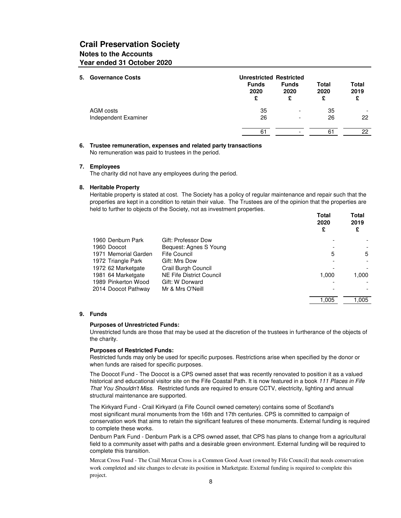# **Crail Preservation Society Notes to the Accounts Year ended 31 October 2020**

| 5. Governance Costs  | <b>Unrestricted Restricted</b> |                           |                    |                          |  |  |
|----------------------|--------------------------------|---------------------------|--------------------|--------------------------|--|--|
|                      | <b>Funds</b><br>2020<br>£      | <b>Funds</b><br>2020<br>£ | Total<br>2020<br>£ | Total<br>2019<br>£       |  |  |
| AGM costs            | 35                             | $\overline{\phantom{a}}$  | 35                 | $\overline{\phantom{a}}$ |  |  |
| Independent Examiner | 26                             | $\overline{\phantom{0}}$  | 26                 | 22                       |  |  |
|                      | 61                             |                           | 61                 | 22                       |  |  |

#### **6. Trustee remuneration, expenses and related party transactions** No remuneration was paid to trustees in the period.

#### **7. Employees**

The charity did not have any employees during the period.

#### **8. Heritable Property**

Heritable property is stated at cost. The Society has a policy of regular maintenance and repair such that the properties are kept in a condition to retain their value. The Trustees are of the opinion that the properties are held to further to objects of the Society, not as investment properties.

|                      |                          | Total<br>2020<br>£ | Total<br>2019<br>£ |
|----------------------|--------------------------|--------------------|--------------------|
| 1960 Denburn Park    | Gift: Professor Dow      |                    |                    |
| 1960 Doocot          | Bequest: Agnes S Young   |                    |                    |
| 1971 Memorial Garden | Fife Council             | 5                  | 5                  |
| 1972 Triangle Park   | Gift: Mrs Dow            |                    |                    |
| 1972 62 Marketgate   | Crail Burgh Council      |                    |                    |
| 1981 64 Marketgate   | NE Fife District Council | 1.000              | 1,000              |
| 1989 Pinkerton Wood  | Gift: W Dorward          |                    |                    |
| 2014 Doocot Pathway  | Mr & Mrs O'Neill         |                    |                    |
|                      |                          | 1.005              | 1.005              |

#### **9. Funds**

#### **Purposes of Unrestricted Funds:**

Unrestricted funds are those that may be used at the discretion of the trustees in furtherance of the objects of the charity.

#### **Purposes of Restricted Funds:**

Restricted funds may only be used for specific purposes. Restrictions arise when specified by the donor or when funds are raised for specific purposes.

The Doocot Fund - The Doocot is a CPS owned asset that was recently renovated to position it as a valued historical and educational visitor site on the Fife Coastal Path. It is now featured in a book 111 Places in Fife That You Shouldn't Miss. Restricted funds are required to ensure CCTV, electricity, lighting and annual structural maintenance are supported.

The Kirkyard Fund - Crail Kirkyard (a Fife Council owned cemetery) contains some of Scotland's most significant mural monuments from the 16th and 17th centuries. CPS is committed to campaign of conservation work that aims to retain the significant features of these monuments. External funding is required to complete these works.

Denburn Park Fund - Denburn Park is a CPS owned asset, that CPS has plans to change from a agricultural field to a community asset with paths and a desirable green environment. External funding will be required to complete this transition.

Mercat Cross Fund - The Crail Mercat Cross is a Common Good Asset (owned by Fife Council) that needs conservation work completed and site changes to elevate its position in Marketgate. External funding is required to complete this project.